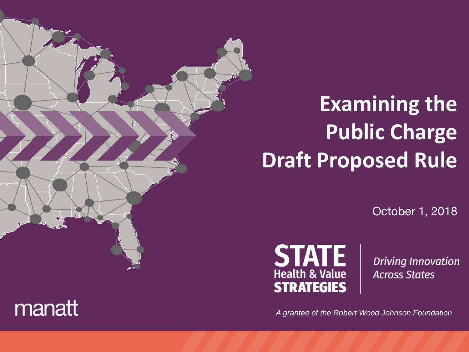# **Examining the Public Charge Draft Proposed Rule**

October 1, 2018



**Driving Innovation Across States** 

*A grantee of the Robert Wood Johnson Foundation*

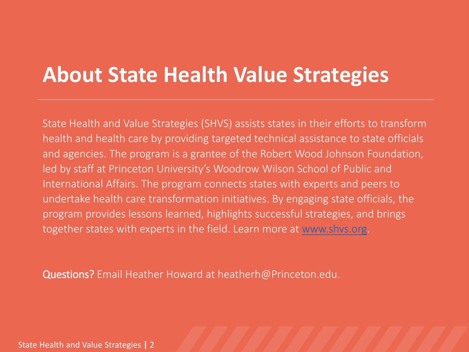## **About State Health Value Strategies**

State Health and Value Strategies (SHVS) assists states in their efforts to transform health and health care by providing targeted technical assistance to state officials and agencies. The program is a grantee of the Robert Wood Johnson Foundation, led by staff at Princeton University's Woodrow Wilson School of Public and International Affairs. The program connects states with experts and peers to undertake health care transformation initiatives. By engaging state officials, the program provides lessons learned, highlights successful strategies, and brings together states with experts in the field. Learn more at [www.shvs.org](http://www.shvs.org/).

Questions? Email Heather Howard at heatherh@Princeton.edu.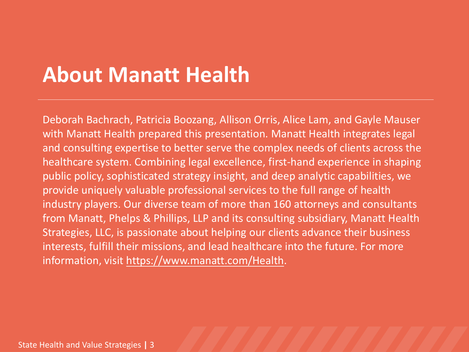## **About Manatt Health**

Deborah Bachrach, Patricia Boozang, Allison Orris, Alice Lam, and Gayle Mauser with Manatt Health prepared this presentation. Manatt Health integrates legal and consulting expertise to better serve the complex needs of clients across the healthcare system. Combining legal excellence, first-hand experience in shaping public policy, sophisticated strategy insight, and deep analytic capabilities, we provide uniquely valuable professional services to the full range of health industry players. Our diverse team of more than 160 attorneys and consultants from Manatt, Phelps & Phillips, LLP and its consulting subsidiary, Manatt Health Strategies, LLC, is passionate about helping our clients advance their business interests, fulfill their missions, and lead healthcare into the future. For more information, visit https://www.manatt.com/Health.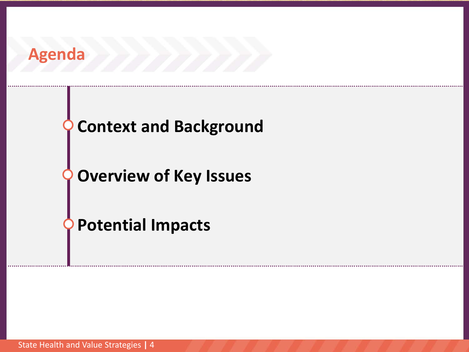

### **Context and Background**

**Overview of Key Issues**

**Potential Impacts**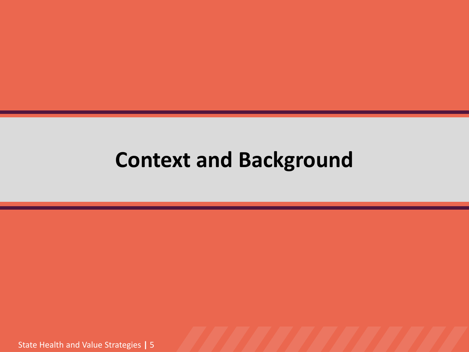## **Context and Background**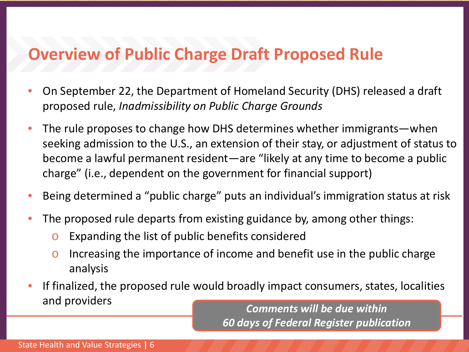### **Overview of Public Charge Draft Proposed Rule**

- On September 22, the Department of Homeland Security (DHS) released a draft proposed rule, *Inadmissibility on Public Charge Grounds*
- The rule proposes to change how DHS determines whether immigrants—when seeking admission to the U.S., an extension of their stay, or adjustment of status to become a lawful permanent resident—are "likely at any time to become a public charge" (i.e., dependent on the government for financial support)
- Being determined a "public charge" puts an individual's immigration status at risk
- The proposed rule departs from existing guidance by, among other things:
	- o Expanding the list of public benefits considered
	- $\circ$  Increasing the importance of income and benefit use in the public charge analysis
- If finalized, the proposed rule would broadly impact consumers, states, localities and providers

*Comments will be due within 60 days of Federal Register publication*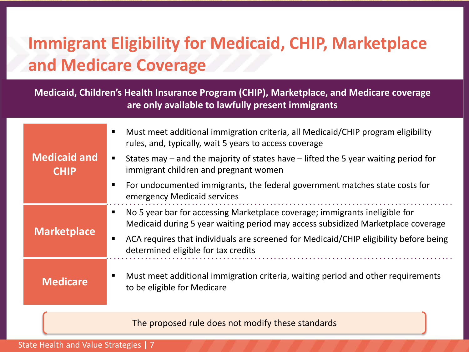## **Immigrant Eligibility for Medicaid, CHIP, Marketplace and Medicare Coverage**

**Medicaid, Children's Health Insurance Program (CHIP), Marketplace, and Medicare coverage are only available to lawfully present immigrants**

|                                    | Must meet additional immigration criteria, all Medicaid/CHIP program eligibility<br>rules, and, typically, wait 5 years to access coverage                      |
|------------------------------------|-----------------------------------------------------------------------------------------------------------------------------------------------------------------|
| <b>Medicaid and</b><br><b>CHIP</b> | States may $-$ and the majority of states have $-$ lifted the 5 year waiting period for<br>immigrant children and pregnant women                                |
|                                    | For undocumented immigrants, the federal government matches state costs for<br>emergency Medicaid services                                                      |
| <b>Marketplace</b>                 | No 5 year bar for accessing Marketplace coverage; immigrants ineligible for<br>Medicaid during 5 year waiting period may access subsidized Marketplace coverage |
|                                    | ACA requires that individuals are screened for Medicaid/CHIP eligibility before being<br>determined eligible for tax credits                                    |
| <b>Medicare</b>                    | Must meet additional immigration criteria, waiting period and other requirements<br>to be eligible for Medicare                                                 |

The proposed rule does not modify these standards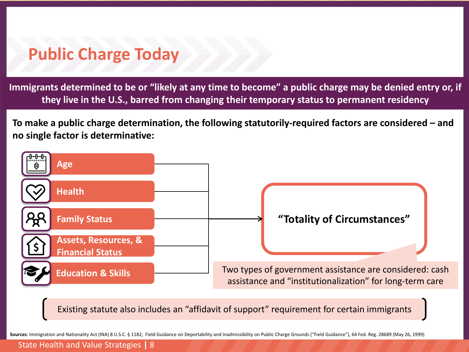### **Public Charge Today**

**Immigrants determined to be or "likely at any time to become" a public charge may be denied entry or, if they live in the U.S., barred from changing their temporary status to permanent residency**

**To make a public charge determination, the following statutorily-required factors are considered – and no single factor is determinative:**



Existing statute also includes an "affidavit of support" requirement for certain immigrants

**Sources**: Immigration and Nationality Act (INA) 8 U.S.C. § 1182; Field Guidance on Deportability and Inadmissibility on Public Charge Grounds ("Field Guidance"), 64 Fed. Reg. 28689 (May 26, 1999)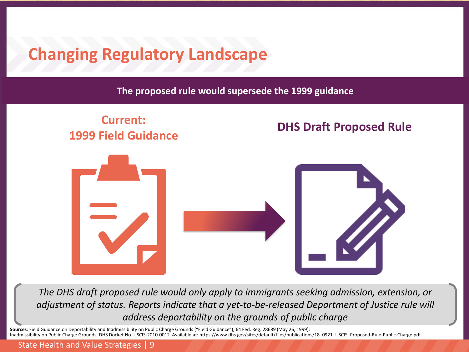### **Changing Regulatory Landscape**

**The proposed rule would supersede the 1999 guidance**

#### **Current: 1999 Field Guidance DHS Draft Proposed Rule**



*The DHS draft proposed rule would only apply to immigrants seeking admission, extension, or adjustment of status. Reports indicate that a yet-to-be-released Department of Justice rule will address deportability on the grounds of public charge*

**Sources**: Field Guidance on Deportability and Inadmissibility on Public Charge Grounds ("Field Guidance"), 64 Fed. Reg. 28689 (May 26, 1999);<br>Inadmissibility on Public Charge Grounds, DHS Docket No. USCIS-2010-0012. Avail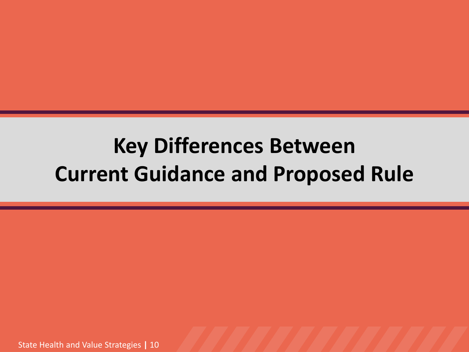## **Key Differences Between Current Guidance and Proposed Rule**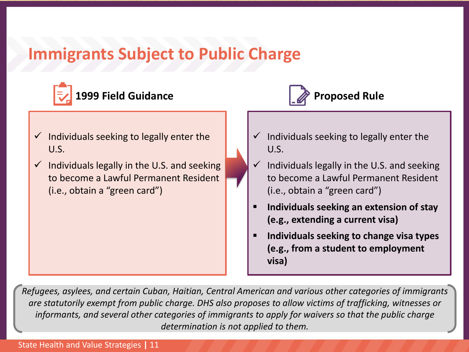### **Immigrants Subject to Public Charge**





- $\checkmark$  Individuals seeking to legally enter the U.S.
- $\checkmark$  Individuals legally in the U.S. and seeking to become a Lawful Permanent Resident (i.e., obtain a "green card")
- $\checkmark$  Individuals seeking to legally enter the U.S.
- $\checkmark$  Individuals legally in the U.S. and seeking to become a Lawful Permanent Resident (i.e., obtain a "green card")
- **Individuals seeking an extension of stay (e.g., extending a current visa)**
- **Individuals seeking to change visa types (e.g., from a student to employment visa)**

*Refugees, asylees, and certain Cuban, Haitian, Central American and various other categories of immigrants are statutorily exempt from public charge. DHS also proposes to allow victims of trafficking, witnesses or informants, and several other categories of immigrants to apply for waivers so that the public charge determination is not applied to them.*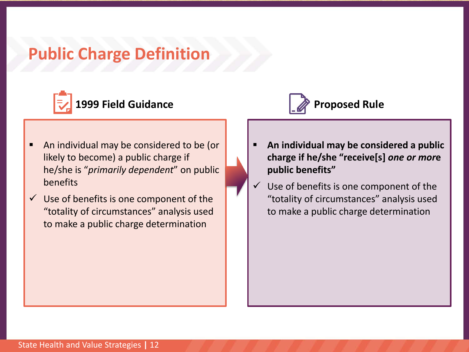### **Public Charge Definition**



- An individual may be considered to be (or likely to become) a public charge if he/she is "*primarily dependent*" on public benefits
- $\checkmark$  Use of benefits is one component of the "totality of circumstances" analysis used to make a public charge determination



- **An individual may be considered a public charge if he/she "receive[s]** *one or mor***e public benefits"**
- Use of benefits is one component of the "totality of circumstances" analysis used to make a public charge determination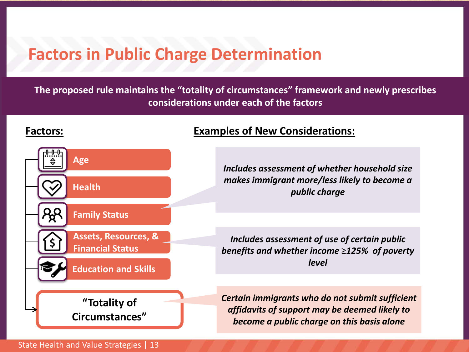### **Factors in Public Charge Determination**

#### **The proposed rule maintains the "totality of circumstances" framework and newly prescribes considerations under each of the factors**



#### **Factors: Examples of New Considerations:**

*Includes assessment of whether household size makes immigrant more/less likely to become a public charge*

*Includes assessment of use of certain public benefits and whether income* ≥*125% of poverty level*

*Certain immigrants who do not submit sufficient affidavits of support may be deemed likely to become a public charge on this basis alone*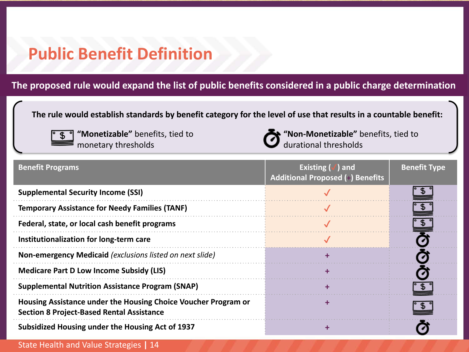### **Public Benefit Definition**

#### **The proposed rule would expand the list of public benefits considered in a public charge determination**

**The rule would establish standards by benefit category for the level of use that results in a countable benefit:**



**"Monetizable"** benefits, tied to monetary thresholds



**"Non-Monetizable"** benefits, tied to durational thresholds

| <b>Benefit Programs</b>                                                                                            | Existing $(\sqrt{})$ and<br><b>Additional Proposed (+) Benefits</b> | <b>Benefit Type</b> |
|--------------------------------------------------------------------------------------------------------------------|---------------------------------------------------------------------|---------------------|
| <b>Supplemental Security Income (SSI)</b>                                                                          |                                                                     |                     |
| <b>Temporary Assistance for Needy Families (TANF)</b>                                                              |                                                                     |                     |
| Federal, state, or local cash benefit programs                                                                     |                                                                     |                     |
| Institutionalization for long-term care                                                                            |                                                                     |                     |
| Non-emergency Medicaid (exclusions listed on next slide)                                                           |                                                                     |                     |
| <b>Medicare Part D Low Income Subsidy (LIS)</b>                                                                    |                                                                     |                     |
| <b>Supplemental Nutrition Assistance Program (SNAP)</b>                                                            |                                                                     |                     |
| Housing Assistance under the Housing Choice Voucher Program or<br><b>Section 8 Project-Based Rental Assistance</b> |                                                                     |                     |
| Subsidized Housing under the Housing Act of 1937                                                                   |                                                                     |                     |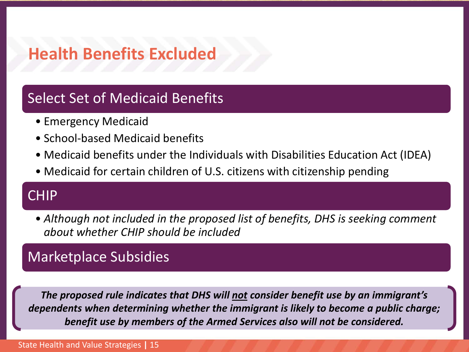### **Health Benefits Excluded**

#### Select Set of Medicaid Benefits

- Emergency Medicaid
- School-based Medicaid benefits
- Medicaid benefits under the Individuals with Disabilities Education Act (IDEA)
- Medicaid for certain children of U.S. citizens with citizenship pending

#### CHIP

• *Although not included in the proposed list of benefits, DHS is seeking comment about whether CHIP should be included*

#### Marketplace Subsidies

*The proposed rule indicates that DHS will not consider benefit use by an immigrant's dependents when determining whether the immigrant is likely to become a public charge; benefit use by members of the Armed Services also will not be considered.*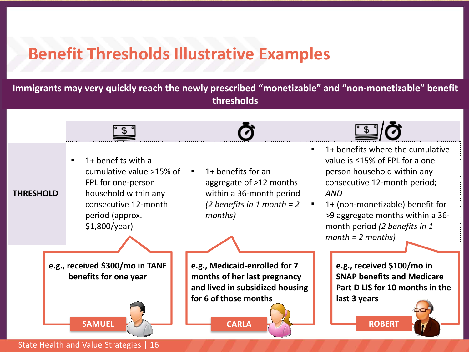### **Benefit Thresholds Illustrative Examples**

**Immigrants may very quickly reach the newly prescribed "monetizable" and "non-monetizable" benefit thresholds**

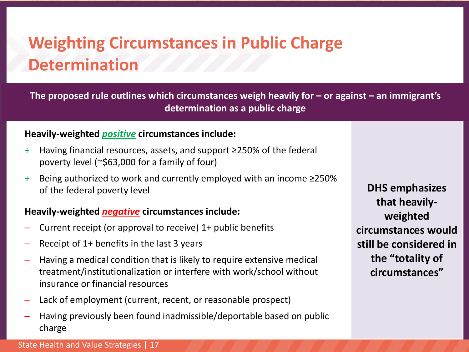## **Weighting Circumstances in Public Charge Determination**

**The proposed rule outlines which circumstances weigh heavily for – or against – an immigrant's determination as a public charge** 

#### **Heavily-weighted** *positive* **circumstances include:**

- + Having financial resources, assets, and support ≥250% of the federal poverty level (~\$63,000 for a family of four)
- + Being authorized to work and currently employed with an income ≥250% of the federal poverty level

#### **Heavily-weighted** *negative* **circumstances include:**

- Current receipt (or approval to receive) 1+ public benefits
- Receipt of 1+ benefits in the last 3 years
- Having a medical condition that is likely to require extensive medical treatment/institutionalization or interfere with work/school without insurance or financial resources
- Lack of employment (current, recent, or reasonable prospect)
- Having previously been found inadmissible/deportable based on public charge

**DHS emphasizes that heavilyweighted circumstances would still be considered in the "totality of circumstances"**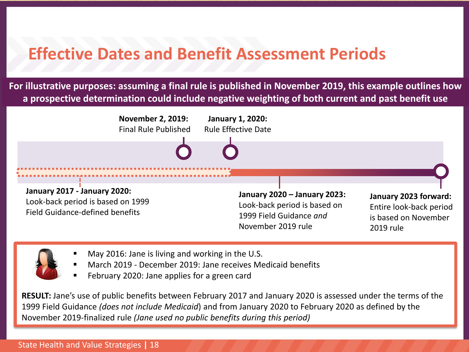### **Effective Dates and Benefit Assessment Periods**

**For illustrative purposes: assuming a final rule is published in November 2019, this example outlines how a prospective determination could include negative weighting of both current and past benefit use**



- May 2016: Jane is living and working in the U.S.
- March 2019 December 2019: Jane receives Medicaid benefits
- February 2020: Jane applies for a green card

**RESULT:** Jane's use of public benefits between February 2017 and January 2020 is assessed under the terms of the 1999 Field Guidance *(does not include Medicaid*) and from January 2020 to February 2020 as defined by the November 2019-finalized rule *(Jane used no public benefits during this period)*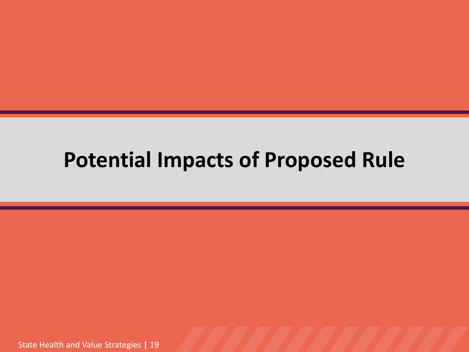## **Potential Impacts of Proposed Rule**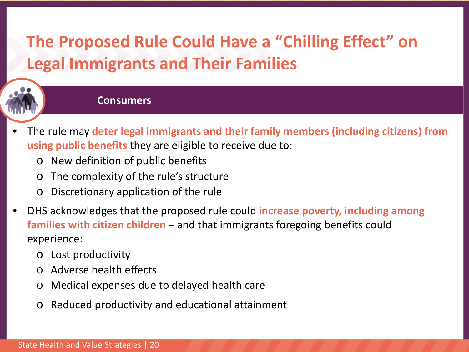## **The Proposed Rule Could Have a "Chilling Effect" on Legal Immigrants and Their Families**



#### **Consumers**

- The rule may **deter legal immigrants and their family members (including citizens) from using public benefits** they are eligible to receive due to:
	- o New definition of public benefits
	- o The complexity of the rule's structure
	- o Discretionary application of the rule
- DHS acknowledges that the proposed rule could **increase poverty, including among families with citizen children** – and that immigrants foregoing benefits could experience:
	- o Lost productivity
	- o Adverse health effects
	- o Medical expenses due to delayed health care
	- o Reduced productivity and educational attainment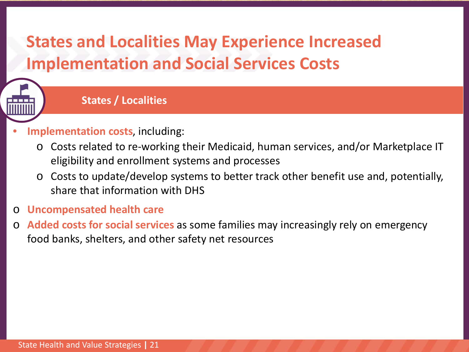### **States and Localities May Experience Increased Implementation and Social Services Costs**



#### **States / Localities**

- **Implementation costs**, including:
	- o Costs related to re-working their Medicaid, human services, and/or Marketplace IT eligibility and enrollment systems and processes
	- o Costs to update/develop systems to better track other benefit use and, potentially, share that information with DHS
- o **Uncompensated health care**
- o **Added costs for social services** as some families may increasingly rely on emergency food banks, shelters, and other safety net resources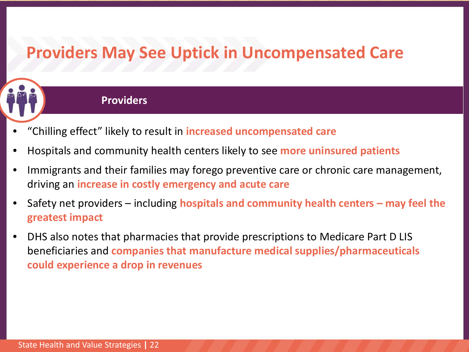### **Providers May See Uptick in Uncompensated Care**



#### **Providers**

- "Chilling effect" likely to result in **increased uncompensated care**
- Hospitals and community health centers likely to see **more uninsured patients**
- Immigrants and their families may forego preventive care or chronic care management, driving an **increase in costly emergency and acute care**
- Safety net providers including **hospitals and community health centers – may feel the greatest impact**
- DHS also notes that pharmacies that provide prescriptions to Medicare Part D LIS beneficiaries and **companies that manufacture medical supplies/pharmaceuticals could experience a drop in revenues**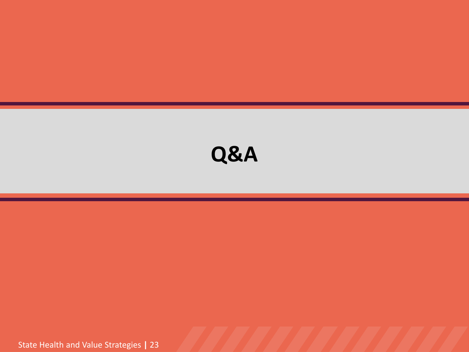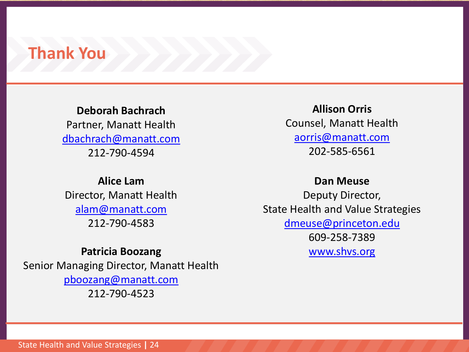#### **Thank You**

**Deborah Bachrach** Partner, Manatt Health [dbachrach@manatt.com](mailto:dbachrach@manatt.com) 212-790-4594

#### **Alice Lam** Director, Manatt Health

[alam@manatt.com](mailto:alam@manatt.com) 212-790-4583

#### **Patricia Boozang**

Senior Managing Director, Manatt Health [pboozang@manatt.com](mailto:pboozang@manatt.com) 212-790-4523

**Allison Orris** Counsel, Manatt Health [aorris@manatt.com](mailto:aorris@manatt.com) 202-585-6561

#### **Dan Meuse**

Deputy Director, State Health and Value Strategies [dmeuse@princeton.edu](mailto:dmeuse@princeton.edu) 609-258-7389 [www.shvs.org](http://www.shvs.org/)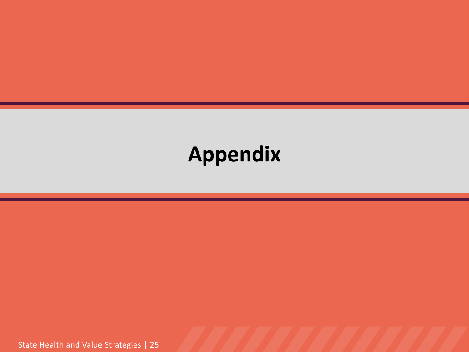## **Appendix**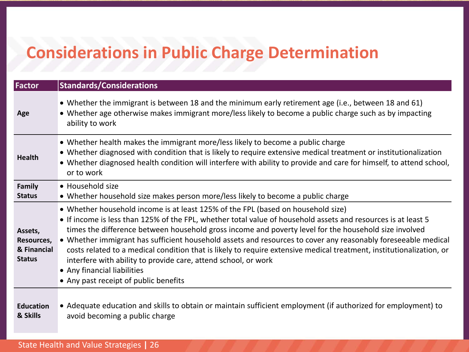## **Considerations in Public Charge Determination**

| Factor                                                | <b>Standards/Considerations</b>                                                                                                                                                                                                                                                                                                                                                                                                                                                                                                                                                                                                                                                               |
|-------------------------------------------------------|-----------------------------------------------------------------------------------------------------------------------------------------------------------------------------------------------------------------------------------------------------------------------------------------------------------------------------------------------------------------------------------------------------------------------------------------------------------------------------------------------------------------------------------------------------------------------------------------------------------------------------------------------------------------------------------------------|
| Age                                                   | • Whether the immigrant is between 18 and the minimum early retirement age (i.e., between 18 and 61)<br>• Whether age otherwise makes immigrant more/less likely to become a public charge such as by impacting<br>ability to work                                                                                                                                                                                                                                                                                                                                                                                                                                                            |
| <b>Health</b>                                         | • Whether health makes the immigrant more/less likely to become a public charge<br>• Whether diagnosed with condition that is likely to require extensive medical treatment or institutionalization<br>• Whether diagnosed health condition will interfere with ability to provide and care for himself, to attend school,<br>or to work                                                                                                                                                                                                                                                                                                                                                      |
| Family<br><b>Status</b>                               | • Household size<br>• Whether household size makes person more/less likely to become a public charge                                                                                                                                                                                                                                                                                                                                                                                                                                                                                                                                                                                          |
| Assets,<br>Resources,<br>& Financial<br><b>Status</b> | • Whether household income is at least 125% of the FPL (based on household size)<br>• If income is less than 125% of the FPL, whether total value of household assets and resources is at least 5<br>times the difference between household gross income and poverty level for the household size involved<br>• Whether immigrant has sufficient household assets and resources to cover any reasonably foreseeable medical<br>costs related to a medical condition that is likely to require extensive medical treatment, institutionalization, or<br>interfere with ability to provide care, attend school, or work<br>• Any financial liabilities<br>• Any past receipt of public benefits |
| <b>Education</b><br>& Skills                          | • Adequate education and skills to obtain or maintain sufficient employment (if authorized for employment) to<br>avoid becoming a public charge                                                                                                                                                                                                                                                                                                                                                                                                                                                                                                                                               |